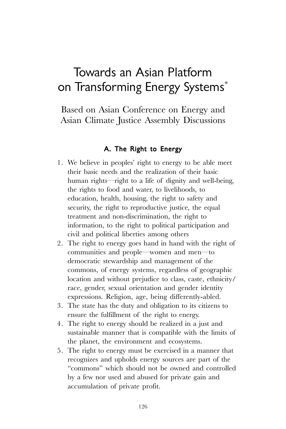## Towards an Asian Platform on Transforming Energy Systems\*

Based on Asian Conference on Energy and Asian Climate Justice Assembly Discussions

## A. The Right to Energy

- 1. We believe in peoples' right to energy to be able meet their basic needs and the realization of their basic human rights—right to a life of dignity and well-being, the rights to food and water, to livelihoods, to education, health, housing, the right to safety and security, the right to reproductive justice, the equal treatment and non-discrimination, the right to information, to the right to political participation and civil and political liberties among others
- 2. The right to energy goes hand in hand with the right of communities and people—women and men—to democratic stewardship and management of the commons, of energy systems, regardless of geographic location and without prejudice to class, caste, ethnicity/ race, gender, sexual orientation and gender identity expressions. Religion, age, being differently-abled.
- 3. The state has the duty and obligation to its citizens to ensure the fulfillment of the right to energy.
- 4. The right to energy should be realized in a just and sustainable manner that is compatible with the limits of the planet, the environment and ecosystems.
- 5. The right to energy must be exercised in a manner that recognizes and upholds energy sources are part of the "commons" which should not be owned and controlled by a few nor used and abused for private gain and accumulation of private profit.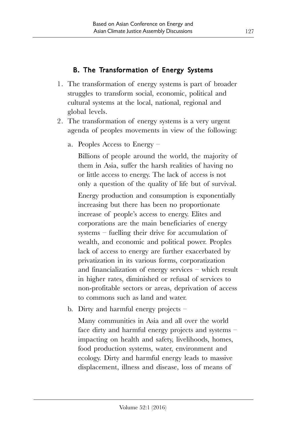## B. The Transformation of Energy Systems

- 1. The transformation of energy systems is part of broader struggles to transform social, economic, political and cultural systems at the local, national, regional and global levels.
- 2. The transformation of energy systems is a very urgent agenda of peoples movements in view of the following:
	- a. Peoples Access to Energy –

Billions of people around the world, the majority of them in Asia, suffer the harsh realities of having no or little access to energy. The lack of access is not only a question of the quality of life but of survival.

Energy production and consumption is exponentially increasing but there has been no proportionate increase of people's access to energy. Elites and corporations are the main beneficiaries of energy systems – fuelling their drive for accumulation of wealth, and economic and political power. Peoples lack of access to energy are further exacerbated by privatization in its various forms, corporatization and financialization of energy services – which result in higher rates, diminished or refusal of services to non-profitable sectors or areas, deprivation of access to commons such as land and water.

b. Dirty and harmful energy projects –

Many communities in Asia and all over the world face dirty and harmful energy projects and systems – impacting on health and safety, livelihoods, homes, food production systems, water, environment and ecology. Dirty and harmful energy leads to massive displacement, illness and disease, loss of means of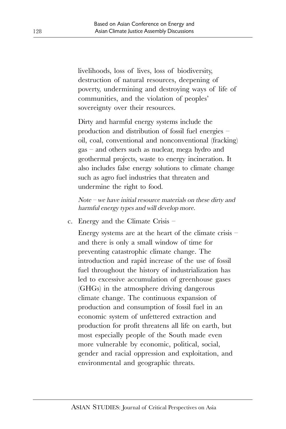livelihoods, loss of lives, loss of biodiversity, destruction of natural resources, deepening of poverty, undermining and destroying ways of life of communities, and the violation of peoples' sovereignty over their resources.

Dirty and harmful energy systems include the production and distribution of fossil fuel energies – oil, coal, conventional and nonconventional (fracking) gas – and others such as nuclear, mega hydro and geothermal projects, waste to energy incineration. It also includes false energy solutions to climate change such as agro fuel industries that threaten and undermine the right to food.

Note – we have initial resource materials on these dirty and harmful energy types and will develop more.

c. Energy and the Climate Crisis –

Energy systems are at the heart of the climate crisis – and there is only a small window of time for preventing catastrophic climate change. The introduction and rapid increase of the use of fossil fuel throughout the history of industrialization has led to excessive accumulation of greenhouse gases (GHGs) in the atmosphere driving dangerous climate change. The continuous expansion of production and consumption of fossil fuel in an economic system of unfettered extraction and production for profit threatens all life on earth, but most especially people of the South made even more vulnerable by economic, political, social, gender and racial oppression and exploitation, and environmental and geographic threats.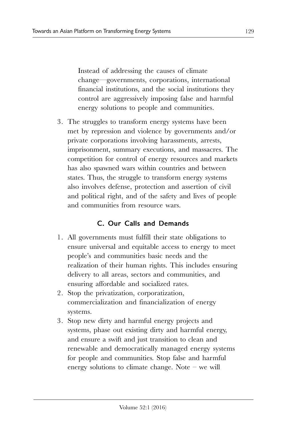Instead of addressing the causes of climate change—governments, corporations, international financial institutions, and the social institutions they control are aggressively imposing false and harmful energy solutions to people and communities.

3. The struggles to transform energy systems have been met by repression and violence by governments and/or private corporations involving harassments, arrests, imprisonment, summary executions, and massacres. The competition for control of energy resources and markets has also spawned wars within countries and between states. Thus, the struggle to transform energy systems also involves defense, protection and assertion of civil and political right, and of the safety and lives of people and communities from resource wars.

## C. Our Calls and Demands

- 1. All governments must fulfill their state obligations to ensure universal and equitable access to energy to meet people's and communities basic needs and the realization of their human rights. This includes ensuring delivery to all areas, sectors and communities, and ensuring affordable and socialized rates.
- 2. Stop the privatization, corporatization, commercialization and financialization of energy systems.
- 3. Stop new dirty and harmful energy projects and systems, phase out existing dirty and harmful energy, and ensure a swift and just transition to clean and renewable and democratically managed energy systems for people and communities. Stop false and harmful energy solutions to climate change. Note – we will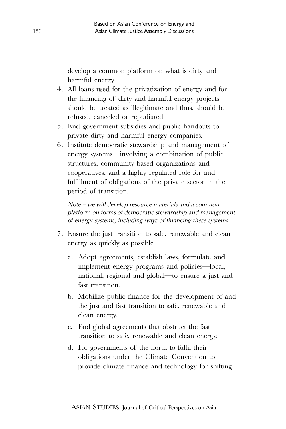develop a common platform on what is dirty and harmful energy

- 4. All loans used for the privatization of energy and for the financing of dirty and harmful energy projects should be treated as illegitimate and thus, should be refused, canceled or repudiated.
- 5. End government subsidies and public handouts to private dirty and harmful energy companies.
- 6. Institute democratic stewardship and management of energy systems—involving a combination of public structures, community-based organizations and cooperatives, and a highly regulated role for and fulfillment of obligations of the private sector in the period of transition.

Note – we will develop resource materials and a common platform on forms of democratic stewardship and management of energy systems, including ways of financing these systems

- 7. Ensure the just transition to safe, renewable and clean energy as quickly as possible –
	- a. Adopt agreements, establish laws, formulate and implement energy programs and policies—local, national, regional and global—to ensure a just and fast transition.
	- b. Mobilize public finance for the development of and the just and fast transition to safe, renewable and clean energy.
	- c. End global agreements that obstruct the fast transition to safe, renewable and clean energy.
	- d. For governments of the north to fulfil their obligations under the Climate Convention to provide climate finance and technology for shifting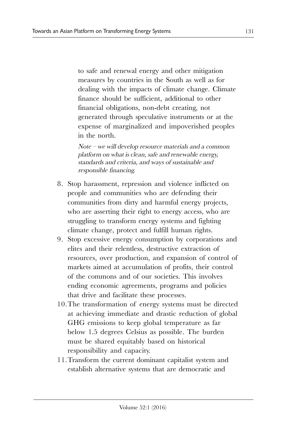to safe and renewal energy and other mitigation measures by countries in the South as well as for dealing with the impacts of climate change. Climate finance should be sufficient, additional to other financial obligations, non-debt creating, not generated through speculative instruments or at the expense of marginalized and impoverished peoples in the north.

Note – we will develop resource materials and a common platform on what is clean, safe and renewable energy, standards and criteria, and ways of sustainable and responsible financing.

- 8. Stop harassment, repression and violence inflicted on people and communities who are defending their communities from dirty and harmful energy projects, who are asserting their right to energy access, who are struggling to transform energy systems and fighting climate change, protect and fulfill human rights.
- 9. Stop excessive energy consumption by corporations and elites and their relentless, destructive extraction of resources, over production, and expansion of control of markets aimed at accumulation of profits, their control of the commons and of our societies. This involves ending economic agreements, programs and policies that drive and facilitate these processes.
- 10.The transformation of energy systems must be directed at achieving immediate and drastic reduction of global GHG emissions to keep global temperature as far below 1.5 degrees Celsius as possible. The burden must be shared equitably based on historical responsibility and capacity.
- 11.Transform the current dominant capitalist system and establish alternative systems that are democratic and